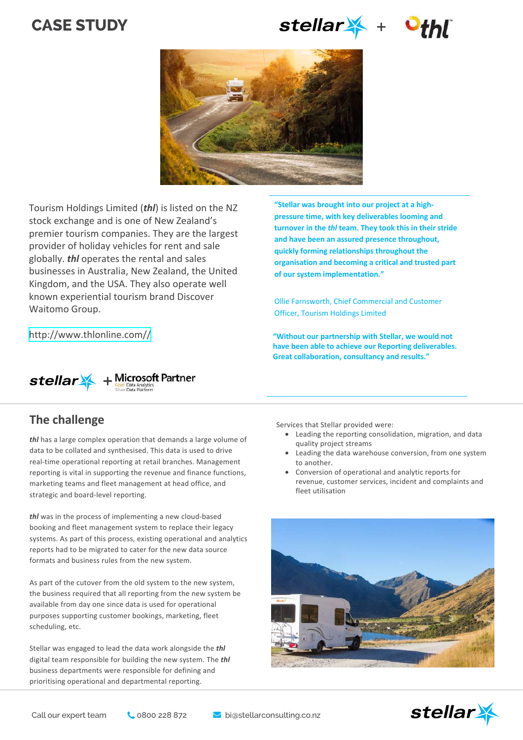# **CASE STUDY**

stellar + Ott





Tourism Holdings Limited (*thl*) is listed on the NZ stock exchange and is one of New Zealand's premier tourism companies. They are the largest provider of holiday vehicles for rent and sale globally. *thl* operates the rental and sales businesses in Australia, New Zealand, the United Kingdom, and the USA. They also operate well known experiential tourism brand Discover Waitomo Group.

[http://www.thlonline.com//](https://www.ojifs.com/)



### **The challenge**

*thl* has a large complex operation that demands a large volume of data to be collated and synthesised. This data is used to drive real-time operational reporting at retail branches. Management reporting is vital in supporting the revenue and finance functions, marketing teams and fleet management at head office, and strategic and board-level reporting.

*thl* was in the process of implementing a new cloud-based booking and fleet management system to replace their legacy systems. As part of this process, existing operational and analytics reports had to be migrated to cater for the new data source formats and business rules from the new system.

As part of the cutover from the old system to the new system, the business required that all reporting from the new system be available from day one since data is used for operational purposes supporting customer bookings, marketing, fleet scheduling, etc.

Stellar was engaged to lead the data work alongside the *thl*  digital team responsible for building the new system. The *thl* business departments were responsible for defining and prioritising operational and departmental reporting.

**"Stellar was brought into our project at a highpressure time, with key deliverables looming and turnover in the** *thl* **team. They took this in their stride and have been an assured presence throughout, quickly forming relationships throughout the organisation and becoming a critical and trusted part of our system implementation."**

Ollie Farnsworth, Chief Commercial and Customer Officer, Tourism Holdings Limited

**"Without our partnership with Stellar, we would not have been able to achieve our Reporting deliverables. Great collaboration, consultancy and results."**

isa Trant, igital rogramme anager, Tourism **,oldings >imited** 

Services that Stellar provided were:

- Leading the reporting consolidation, migration, and data quality project streams
- Leading the data warehouse conversion, from one system to another.
- Conversion of operational and analytic reports for revenue, customer services, incident and complaints and fleet utilisation